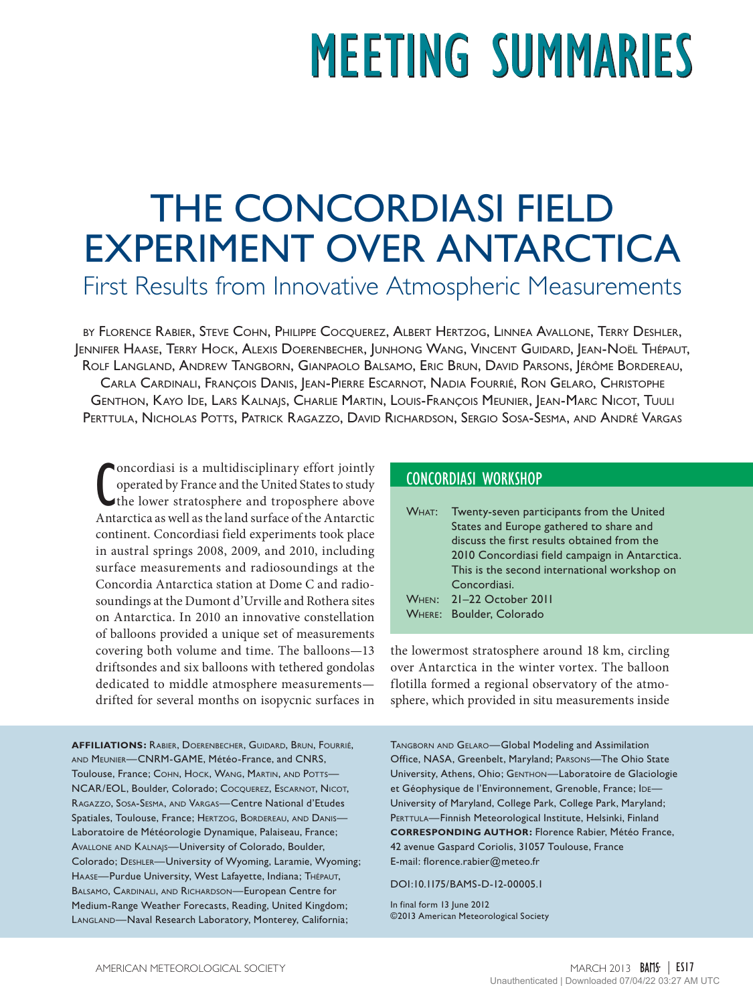# **MEETING SUMMARIES**

# THE CONCORDIASI FIELD EXPERIMENT OVER ANTARCTICA

First Results from Innovative Atmospheric Measurements

by Florence Rabier, Steve Cohn, Philippe Cocquerez, Albert Hertzog, Linnea Avallone, Terry Deshler, Jennifer Haase, Terry Hock, Alexis Doerenbecher, Junhong Wang, Vincent Guidard, Jean-Noël Thépaut, Rolf Langland, Andrew Tangborn, Gianpaolo Balsamo, Eric Brun, David Parsons, Jérôme Bordereau, Carla Cardinali, François Danis, Jean-Pierre Escarnot, Nadia Fourrié, Ron Gelaro, Christophe Genthon, Kayo Ide, Lars Kalnajs, Charlie Martin, Louis-François Meunier, Jean-Marc Nicot, Tuuli Perttula, Nicholas Potts, Patrick Ragazzo, David Richardson, Sergio Sosa-Sesma, and André Vargas

Concordiasi is a multidisciplinary effort jointly<br>operated by France and the United States to study<br>the lower stratosphere and troposphere above<br>Antarctica as well as the land surface of the Antarctic oncordiasi is a multidisciplinary effort jointly operated by France and the United States to study the lower stratosphere and troposphere above continent. Concordiasi field experiments took place in austral springs 2008, 2009, and 2010, including surface measurements and radiosoundings at the Concordia Antarctica station at Dome C and radiosoundings at the Dumont d'Urville and Rothera sites on Antarctica. In 2010 an innovative constellation of balloons provided a unique set of measurements covering both volume and time. The balloons—13 driftsondes and six balloons with tethered gondolas dedicated to middle atmosphere measurements drifted for several months on isopycnic surfaces in

**AFFILIATIONS:** Rabier, Doerenbecher, Guidard, Brun, Fourrié, and Meunier—CNRM-GAME, Météo-France, and CNRS, Toulouse, France; Сонн, Носк, WANG, MARTIN, AND POTTS-NCAR/EOL, Boulder, Colorado; Сосочекез, Escarnot, Nicot, Ragazzo, Sosa-Sesma, and Vargas—Centre National d'Etudes Spatiales, Toulouse, France; HERTZOG, BORDEREAU, AND DANIS-Laboratoire de Météorologie Dynamique, Palaiseau, France; Avallone and Kalnajs—University of Colorado, Boulder, Colorado; Deshler—University of Wyoming, Laramie, Wyoming; Haase—Purdue University, West Lafayette, Indiana; Thépaut, Balsamo, Cardinali, and Richardson—European Centre for Medium-Range Weather Forecasts, Reading, United Kingdom; Langland—Naval Research Laboratory, Monterey, California;

## CONCORDIASI WORKSHOP

| WHAT: Twenty-seven participants from the United |
|-------------------------------------------------|
| States and Europe gathered to share and         |
| discuss the first results obtained from the     |
| 2010 Concordiasi field campaign in Antarctica.  |
| This is the second international workshop on    |
| Concordiasi.                                    |
| WHEN: 21-22 October 2011                        |
| <b>WHERE: Boulder, Colorado</b>                 |

the lowermost stratosphere around 18 km, circling over Antarctica in the winter vortex. The balloon flotilla formed a regional observatory of the atmosphere, which provided in situ measurements inside

Tangborn and Gelaro—Global Modeling and Assimilation Office, NASA, Greenbelt, Maryland; Parsons—The Ohio State University, Athens, Ohio; Genthon—Laboratoire de Glaciologie et Géophysique de l'Environnement, Grenoble, France; IDE-University of Maryland, College Park, College Park, Maryland; PERTTULA-Finnish Meteorological Institute, Helsinki, Finland **CORRESPONDING AUTHOR:** Florence Rabier, Météo France, 42 avenue Gaspard Coriolis, 31057 Toulouse, France E-mail: [florence.rabier@meteo.fr](mailto:florence.rabier%40meteo.fr?subject=)

[DOI:10.1175/BAMS-D-12-00005.1](http://dx.doi.org/10.1175/BAMS-D-12-00005.1)

In final form 13 June 2012 ©2013 American Meteorological Society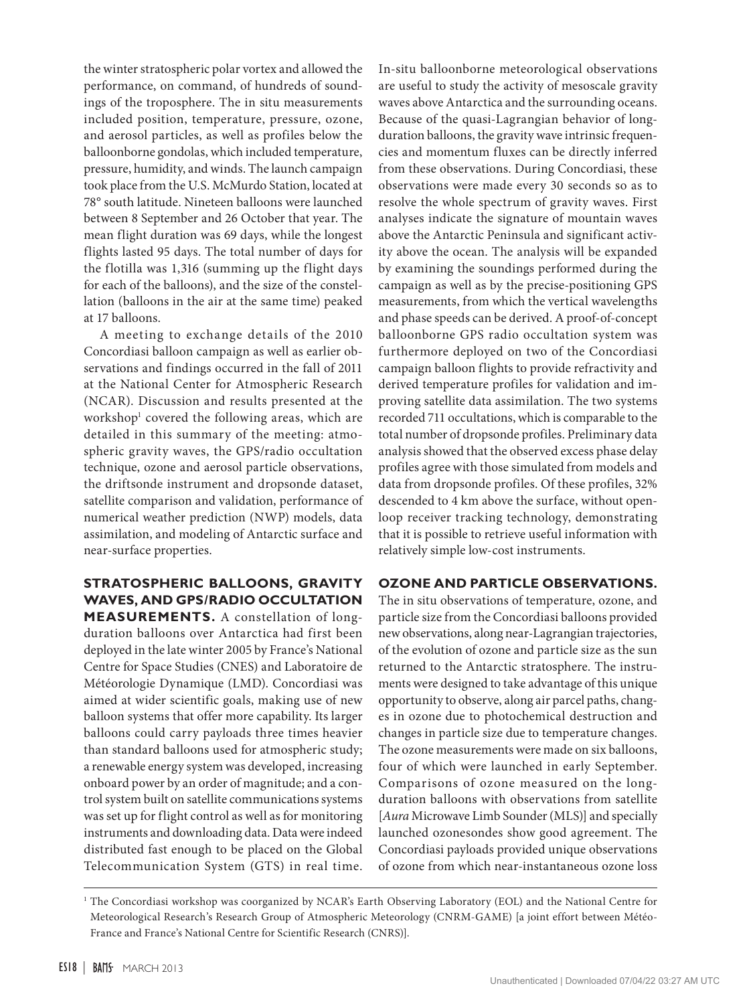the winter stratospheric polar vortex and allowed the performance, on command, of hundreds of soundings of the troposphere. The in situ measurements included position, temperature, pressure, ozone, and aerosol particles, as well as profiles below the balloonborne gondolas, which included temperature, pressure, humidity, and winds. The launch campaign took place from the U.S. McMurdo Station, located at 78° south latitude. Nineteen balloons were launched between 8 September and 26 October that year. The mean flight duration was 69 days, while the longest flights lasted 95 days. The total number of days for the flotilla was 1,316 (summing up the flight days for each of the balloons), and the size of the constellation (balloons in the air at the same time) peaked at 17 balloons.

A meeting to exchange details of the 2010 Concordiasi balloon campaign as well as earlier observations and findings occurred in the fall of 2011 at the National Center for Atmospheric Research (NCAR). Discussion and results presented at the workshop1 covered the following areas, which are detailed in this summary of the meeting: atmospheric gravity waves, the GPS/radio occultation technique, ozone and aerosol particle observations, the driftsonde instrument and dropsonde dataset, satellite comparison and validation, performance of numerical weather prediction (NWP) models, data assimilation, and modeling of Antarctic surface and near-surface properties.

# **STRATOSPHERIC BALLOONS, GRAVITY WAVES, AND GPS/RADIO OCCULTATION**

**MEASUREMENTS.** A constellation of longduration balloons over Antarctica had first been deployed in the late winter 2005 by France's National Centre for Space Studies (CNES) and Laboratoire de Météorologie Dynamique (LMD). Concordiasi was aimed at wider scientific goals, making use of new balloon systems that offer more capability. Its larger balloons could carry payloads three times heavier than standard balloons used for atmospheric study; a renewable energy system was developed, increasing onboard power by an order of magnitude; and a control system built on satellite communications systems was set up for flight control as well as for monitoring instruments and downloading data. Data were indeed distributed fast enough to be placed on the Global Telecommunication System (GTS) in real time. In-situ balloonborne meteorological observations are useful to study the activity of mesoscale gravity waves above Antarctica and the surrounding oceans. Because of the quasi-Lagrangian behavior of longduration balloons, the gravity wave intrinsic frequencies and momentum fluxes can be directly inferred from these observations. During Concordiasi, these observations were made every 30 seconds so as to resolve the whole spectrum of gravity waves. First analyses indicate the signature of mountain waves above the Antarctic Peninsula and significant activity above the ocean. The analysis will be expanded by examining the soundings performed during the campaign as well as by the precise-positioning GPS measurements, from which the vertical wavelengths and phase speeds can be derived. A proof-of-concept balloonborne GPS radio occultation system was furthermore deployed on two of the Concordiasi campaign balloon flights to provide refractivity and derived temperature profiles for validation and improving satellite data assimilation. The two systems recorded 711 occultations, which is comparable to the total number of dropsonde profiles. Preliminary data analysis showed that the observed excess phase delay profiles agree with those simulated from models and data from dropsonde profiles. Of these profiles, 32% descended to 4 km above the surface, without openloop receiver tracking technology, demonstrating that it is possible to retrieve useful information with relatively simple low-cost instruments.

### **OZONE AND PARTICLE OBSERVATIONS.**

The in situ observations of temperature, ozone, and particle size from the Concordiasi balloons provided new observations, along near-Lagrangian trajectories, of the evolution of ozone and particle size as the sun returned to the Antarctic stratosphere. The instruments were designed to take advantage of this unique opportunity to observe, along air parcel paths, changes in ozone due to photochemical destruction and changes in particle size due to temperature changes. The ozone measurements were made on six balloons, four of which were launched in early September. Comparisons of ozone measured on the longduration balloons with observations from satellite [*Aura* Microwave Limb Sounder (MLS)] and specially launched ozonesondes show good agreement. The Concordiasi payloads provided unique observations of ozone from which near-instantaneous ozone loss

<sup>&</sup>lt;sup>1</sup> The Concordiasi workshop was coorganized by NCAR's Earth Observing Laboratory (EOL) and the National Centre for Meteorological Research's Research Group of Atmospheric Meteorology (CNRM-GAME) [a joint effort between Météo-France and France's National Centre for Scientific Research (CNRS)].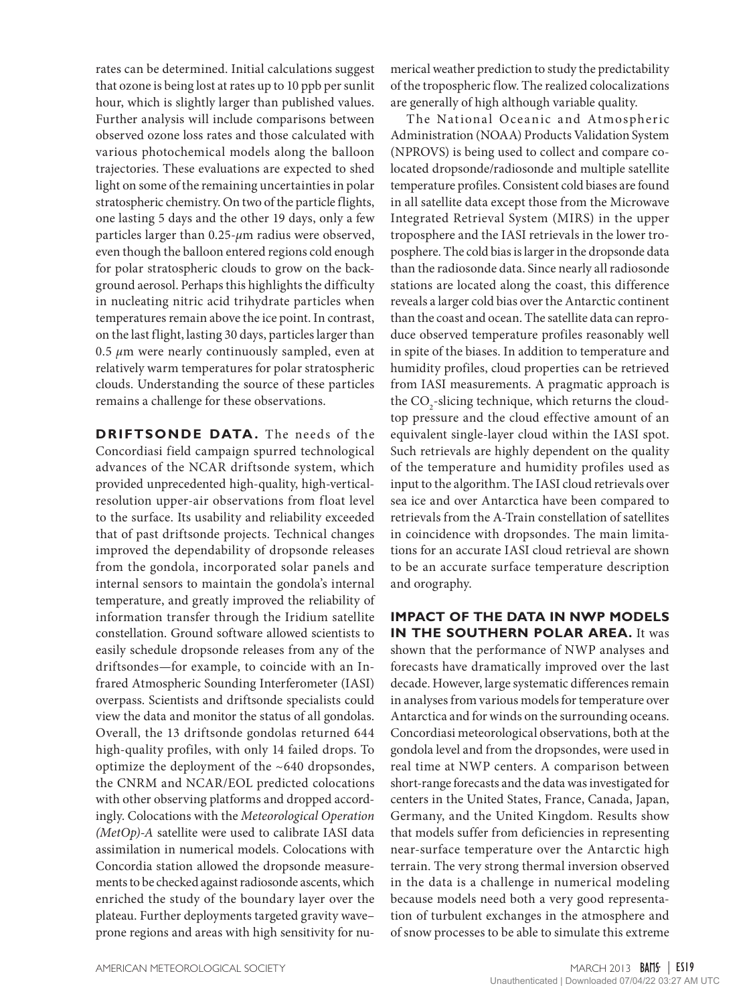rates can be determined. Initial calculations suggest that ozone is being lost at rates up to 10 ppb per sunlit hour, which is slightly larger than published values. Further analysis will include comparisons between observed ozone loss rates and those calculated with various photochemical models along the balloon trajectories. These evaluations are expected to shed light on some of the remaining uncertainties in polar stratospheric chemistry. On two of the particle flights, one lasting 5 days and the other 19 days, only a few particles larger than 0.25-*μ*m radius were observed, even though the balloon entered regions cold enough for polar stratospheric clouds to grow on the background aerosol. Perhaps this highlights the difficulty in nucleating nitric acid trihydrate particles when temperatures remain above the ice point. In contrast, on the last flight, lasting 30 days, particles larger than  $0.5 \mu$ m were nearly continuously sampled, even at relatively warm temperatures for polar stratospheric clouds. Understanding the source of these particles remains a challenge for these observations.

**DRIFTSONDE DATA.** The needs of the Concordiasi field campaign spurred technological advances of the NCAR driftsonde system, which provided unprecedented high-quality, high-verticalresolution upper-air observations from float level to the surface. Its usability and reliability exceeded that of past driftsonde projects. Technical changes improved the dependability of dropsonde releases from the gondola, incorporated solar panels and internal sensors to maintain the gondola's internal temperature, and greatly improved the reliability of information transfer through the Iridium satellite constellation. Ground software allowed scientists to easily schedule dropsonde releases from any of the driftsondes—for example, to coincide with an Infrared Atmospheric Sounding Interferometer (IASI) overpass. Scientists and driftsonde specialists could view the data and monitor the status of all gondolas. Overall, the 13 driftsonde gondolas returned 644 high-quality profiles, with only 14 failed drops. To optimize the deployment of the ~640 dropsondes, the CNRM and NCAR/EOL predicted colocations with other observing platforms and dropped accordingly. Colocations with the *Meteorological Operation (MetOp)-A* satellite were used to calibrate IASI data assimilation in numerical models. Colocations with Concordia station allowed the dropsonde measurements to be checked against radiosonde ascents, which enriched the study of the boundary layer over the plateau. Further deployments targeted gravity wave– prone regions and areas with high sensitivity for nu-

merical weather prediction to study the predictability of the tropospheric flow. The realized colocalizations are generally of high although variable quality.

The National Oceanic and Atmospheric Administration (NOAA) Products Validation System (NPROVS) is being used to collect and compare colocated dropsonde/radiosonde and multiple satellite temperature profiles. Consistent cold biases are found in all satellite data except those from the Microwave Integrated Retrieval System (MIRS) in the upper troposphere and the IASI retrievals in the lower troposphere. The cold bias is larger in the dropsonde data than the radiosonde data. Since nearly all radiosonde stations are located along the coast, this difference reveals a larger cold bias over the Antarctic continent than the coast and ocean. The satellite data can reproduce observed temperature profiles reasonably well in spite of the biases. In addition to temperature and humidity profiles, cloud properties can be retrieved from IASI measurements. A pragmatic approach is the  $\mathrm{CO}_2$ -slicing technique, which returns the cloudtop pressure and the cloud effective amount of an equivalent single-layer cloud within the IASI spot. Such retrievals are highly dependent on the quality of the temperature and humidity profiles used as input to the algorithm. The IASI cloud retrievals over sea ice and over Antarctica have been compared to retrievals from the A-Train constellation of satellites in coincidence with dropsondes. The main limitations for an accurate IASI cloud retrieval are shown to be an accurate surface temperature description and orography.

**IMPACT OF THE DATA IN NWP MODELS IN THE SOUTHERN POLAR AREA.** It was shown that the performance of NWP analyses and forecasts have dramatically improved over the last decade. However, large systematic differences remain in analyses from various models for temperature over Antarctica and for winds on the surrounding oceans. Concordiasi meteorological observations, both at the gondola level and from the dropsondes, were used in real time at NWP centers. A comparison between short-range forecasts and the data was investigated for centers in the United States, France, Canada, Japan, Germany, and the United Kingdom. Results show that models suffer from deficiencies in representing near-surface temperature over the Antarctic high terrain. The very strong thermal inversion observed in the data is a challenge in numerical modeling because models need both a very good representation of turbulent exchanges in the atmosphere and of snow processes to be able to simulate this extreme